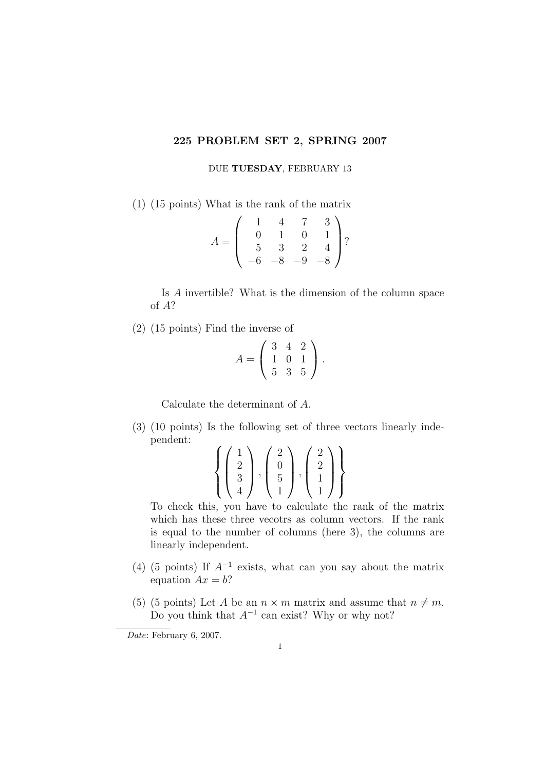## 225 PROBLEM SET 2, SPRING 2007

DUE TUESDAY, FEBRUARY 13

(1) (15 points) What is the rank of the matrix

$$
A = \left(\begin{array}{rrr} 1 & 4 & 7 & 3 \\ 0 & 1 & 0 & 1 \\ 5 & 3 & 2 & 4 \\ -6 & -8 & -9 & -8 \end{array}\right)?
$$

Is A invertible? What is the dimension of the column space of A?

(2) (15 points) Find the inverse of

$$
A = \left(\begin{array}{rrr} 3 & 4 & 2 \\ 1 & 0 & 1 \\ 5 & 3 & 5 \end{array}\right).
$$

Calculate the determinant of A.

(3) (10 points) Is the following set of three vectors linearly independent:

$$
\left\{ \left( \begin{array}{c} 1 \\ 2 \\ 3 \\ 4 \end{array} \right), \left( \begin{array}{c} 2 \\ 0 \\ 5 \\ 1 \end{array} \right), \left( \begin{array}{c} 2 \\ 2 \\ 1 \\ 1 \end{array} \right) \right\}
$$

To check this, you have to calculate the rank of the matrix which has these three vecotrs as column vectors. If the rank is equal to the number of columns (here 3), the columns are linearly independent.

- (4) (5 points) If  $A^{-1}$  exists, what can you say about the matrix equation  $Ax = b$ ?
- (5) (5 points) Let A be an  $n \times m$  matrix and assume that  $n \neq m$ . Do you think that  $A^{-1}$  can exist? Why or why not?

Date: February 6, 2007.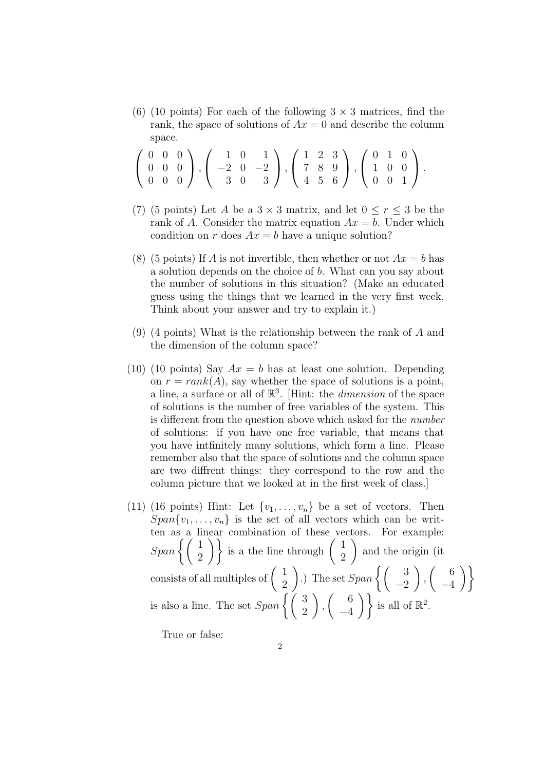(6) (10 points) For each of the following  $3 \times 3$  matrices, find the rank, the space of solutions of  $Ax = 0$  and describe the column space.

$$
\left(\begin{array}{rrr} 0 & 0 & 0 \\ 0 & 0 & 0 \\ 0 & 0 & 0 \end{array}\right), \left(\begin{array}{rrr} 1 & 0 & 1 \\ -2 & 0 & -2 \\ 3 & 0 & 3 \end{array}\right), \left(\begin{array}{rrr} 1 & 2 & 3 \\ 7 & 8 & 9 \\ 4 & 5 & 6 \end{array}\right), \left(\begin{array}{rrr} 0 & 1 & 0 \\ 1 & 0 & 0 \\ 0 & 0 & 1 \end{array}\right).
$$

- (7) (5 points) Let A be a  $3 \times 3$  matrix, and let  $0 \le r \le 3$  be the rank of A. Consider the matrix equation  $Ax = b$ . Under which condition on r does  $Ax = b$  have a unique solution?
- (8) (5 points) If A is not invertible, then whether or not  $Ax = b$  has a solution depends on the choice of b. What can you say about the number of solutions in this situation? (Make an educated guess using the things that we learned in the very first week. Think about your answer and try to explain it.)
- (9) (4 points) What is the relationship between the rank of A and the dimension of the column space?
- (10) (10 points) Say  $Ax = b$  has at least one solution. Depending on  $r = rank(A)$ , say whether the space of solutions is a point, a line, a surface or all of  $\mathbb{R}^3$ . [Hint: the *dimension* of the space of solutions is the number of free variables of the system. This is different from the question above which asked for the number of solutions: if you have one free variable, that means that you have intfinitely many solutions, which form a line. Please remember also that the space of solutions and the column space are two diffrent things: they correspond to the row and the column picture that we looked at in the first week of class.]
- (11) (16 points) Hint: Let  $\{v_1, \ldots, v_n\}$  be a set of vectors. Then  $Span\{v_1, \ldots, v_n\}$  is the set of all vectors which can be written as a linear combination of these vectors. For example:  $Span\left\{\left(\begin{array}{c} 1\\2 \end{array}\right)\right\}$  is a the line through  $\left(\begin{array}{c} 1\\2 \end{array}\right)$ 2  $\setminus$ and the origin (it consists of all multiples of  $\begin{pmatrix} 1 \\ 2 \end{pmatrix}$ 2  $\Big).$  The set  $Span\left\{\left(\begin{array}{c} 3 \\ -2 \end{array}\right)$  $\setminus$ ,  $\begin{pmatrix} 6 \end{pmatrix}$ −4  $\setminus$ is also a line. The set  $Span\left\{\left(\begin{array}{c} 3\\2 \end{array}\right)$  $\setminus$ ,  $\begin{pmatrix} 6 \\ 6 \end{pmatrix}$  $\begin{pmatrix} 6 \\ -4 \end{pmatrix}$  is all of  $\mathbb{R}^2$ .

True or false: